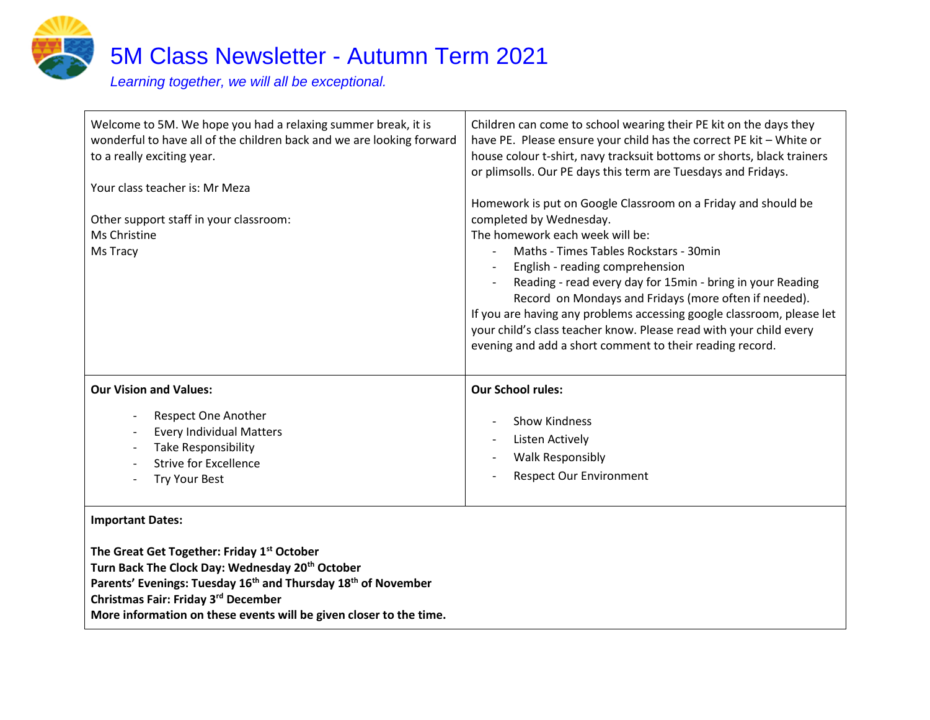

| Welcome to 5M. We hope you had a relaxing summer break, it is<br>wonderful to have all of the children back and we are looking forward<br>to a really exciting year.<br>Your class teacher is: Mr Meza<br>Other support staff in your classroom:<br>Ms Christine<br>Ms Tracy | Children can come to school wearing their PE kit on the days they<br>have PE. Please ensure your child has the correct PE kit - White or<br>house colour t-shirt, navy tracksuit bottoms or shorts, black trainers<br>or plimsolls. Our PE days this term are Tuesdays and Fridays.<br>Homework is put on Google Classroom on a Friday and should be<br>completed by Wednesday.<br>The homework each week will be:<br>Maths - Times Tables Rockstars - 30min<br>English - reading comprehension<br>Reading - read every day for 15min - bring in your Reading<br>Record on Mondays and Fridays (more often if needed).<br>If you are having any problems accessing google classroom, please let<br>your child's class teacher know. Please read with your child every<br>evening and add a short comment to their reading record. |
|------------------------------------------------------------------------------------------------------------------------------------------------------------------------------------------------------------------------------------------------------------------------------|-----------------------------------------------------------------------------------------------------------------------------------------------------------------------------------------------------------------------------------------------------------------------------------------------------------------------------------------------------------------------------------------------------------------------------------------------------------------------------------------------------------------------------------------------------------------------------------------------------------------------------------------------------------------------------------------------------------------------------------------------------------------------------------------------------------------------------------|
| <b>Our Vision and Values:</b>                                                                                                                                                                                                                                                | <b>Our School rules:</b>                                                                                                                                                                                                                                                                                                                                                                                                                                                                                                                                                                                                                                                                                                                                                                                                          |
| <b>Respect One Another</b><br><b>Every Individual Matters</b><br><b>Take Responsibility</b><br><b>Strive for Excellence</b><br><b>Try Your Best</b>                                                                                                                          | <b>Show Kindness</b><br>Listen Actively<br><b>Walk Responsibly</b><br><b>Respect Our Environment</b>                                                                                                                                                                                                                                                                                                                                                                                                                                                                                                                                                                                                                                                                                                                              |
| <b>Important Dates:</b>                                                                                                                                                                                                                                                      |                                                                                                                                                                                                                                                                                                                                                                                                                                                                                                                                                                                                                                                                                                                                                                                                                                   |
| The Great Get Together: Friday 1 <sup>st</sup> October<br>Turn Back The Clock Day: Wednesday 20th October                                                                                                                                                                    |                                                                                                                                                                                                                                                                                                                                                                                                                                                                                                                                                                                                                                                                                                                                                                                                                                   |

**Parents' Evenings: Tuesday 16th and Thursday 18th of November** 

**Christmas Fair: Friday 3rd December**

**More information on these events will be given closer to the time.**